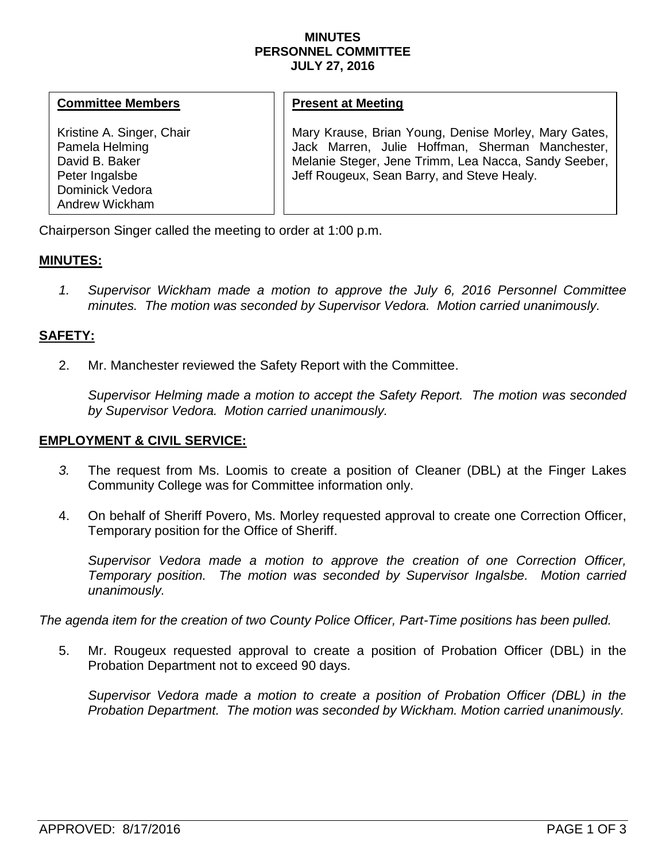#### **MINUTES PERSONNEL COMMITTEE JULY 27, 2016**

## **Committee Members**

Kristine A. Singer, Chair Pamela Helming David B. Baker Peter Ingalsbe Dominick Vedora Andrew Wickham

## **Present at Meeting**

Mary Krause, Brian Young, Denise Morley, Mary Gates, Jack Marren, Julie Hoffman, Sherman Manchester, Melanie Steger, Jene Trimm, Lea Nacca, Sandy Seeber, Jeff Rougeux, Sean Barry, and Steve Healy.

Chairperson Singer called the meeting to order at 1:00 p.m.

# **MINUTES:**

*1. Supervisor Wickham made a motion to approve the July 6, 2016 Personnel Committee minutes. The motion was seconded by Supervisor Vedora. Motion carried unanimously.*

## **SAFETY:**

2. Mr. Manchester reviewed the Safety Report with the Committee.

*Supervisor Helming made a motion to accept the Safety Report. The motion was seconded by Supervisor Vedora. Motion carried unanimously.* 

#### **EMPLOYMENT & CIVIL SERVICE:**

- *3.* The request from Ms. Loomis to create a position of Cleaner (DBL) at the Finger Lakes Community College was for Committee information only.
- 4. On behalf of Sheriff Povero, Ms. Morley requested approval to create one Correction Officer, Temporary position for the Office of Sheriff.

*Supervisor Vedora made a motion to approve the creation of one Correction Officer, Temporary position. The motion was seconded by Supervisor Ingalsbe. Motion carried unanimously.* 

*The agenda item for the creation of two County Police Officer, Part-Time positions has been pulled.*

5. Mr. Rougeux requested approval to create a position of Probation Officer (DBL) in the Probation Department not to exceed 90 days.

*Supervisor Vedora made a motion to create a position of Probation Officer (DBL) in the Probation Department. The motion was seconded by Wickham. Motion carried unanimously.*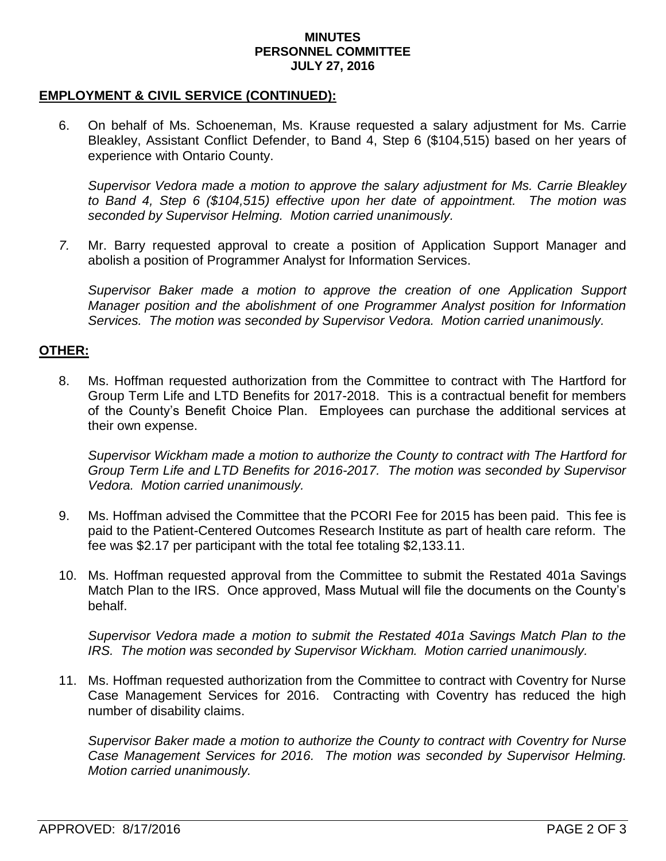#### **MINUTES PERSONNEL COMMITTEE JULY 27, 2016**

## **EMPLOYMENT & CIVIL SERVICE (CONTINUED):**

6. On behalf of Ms. Schoeneman, Ms. Krause requested a salary adjustment for Ms. Carrie Bleakley, Assistant Conflict Defender, to Band 4, Step 6 (\$104,515) based on her years of experience with Ontario County.

*Supervisor Vedora made a motion to approve the salary adjustment for Ms. Carrie Bleakley to Band 4, Step 6 (\$104,515) effective upon her date of appointment. The motion was seconded by Supervisor Helming. Motion carried unanimously.* 

*7.* Mr. Barry requested approval to create a position of Application Support Manager and abolish a position of Programmer Analyst for Information Services.

*Supervisor Baker made a motion to approve the creation of one Application Support Manager position and the abolishment of one Programmer Analyst position for Information Services. The motion was seconded by Supervisor Vedora. Motion carried unanimously.*

## **OTHER:**

8. Ms. Hoffman requested authorization from the Committee to contract with The Hartford for Group Term Life and LTD Benefits for 2017-2018. This is a contractual benefit for members of the County's Benefit Choice Plan. Employees can purchase the additional services at their own expense.

*Supervisor Wickham made a motion to authorize the County to contract with The Hartford for Group Term Life and LTD Benefits for 2016-2017. The motion was seconded by Supervisor Vedora. Motion carried unanimously.* 

- 9. Ms. Hoffman advised the Committee that the PCORI Fee for 2015 has been paid. This fee is paid to the Patient-Centered Outcomes Research Institute as part of health care reform. The fee was \$2.17 per participant with the total fee totaling \$2,133.11.
- 10. Ms. Hoffman requested approval from the Committee to submit the Restated 401a Savings Match Plan to the IRS. Once approved, Mass Mutual will file the documents on the County's behalf.

*Supervisor Vedora made a motion to submit the Restated 401a Savings Match Plan to the IRS. The motion was seconded by Supervisor Wickham. Motion carried unanimously.* 

11. Ms. Hoffman requested authorization from the Committee to contract with Coventry for Nurse Case Management Services for 2016. Contracting with Coventry has reduced the high number of disability claims.

*Supervisor Baker made a motion to authorize the County to contract with Coventry for Nurse Case Management Services for 2016. The motion was seconded by Supervisor Helming. Motion carried unanimously.*